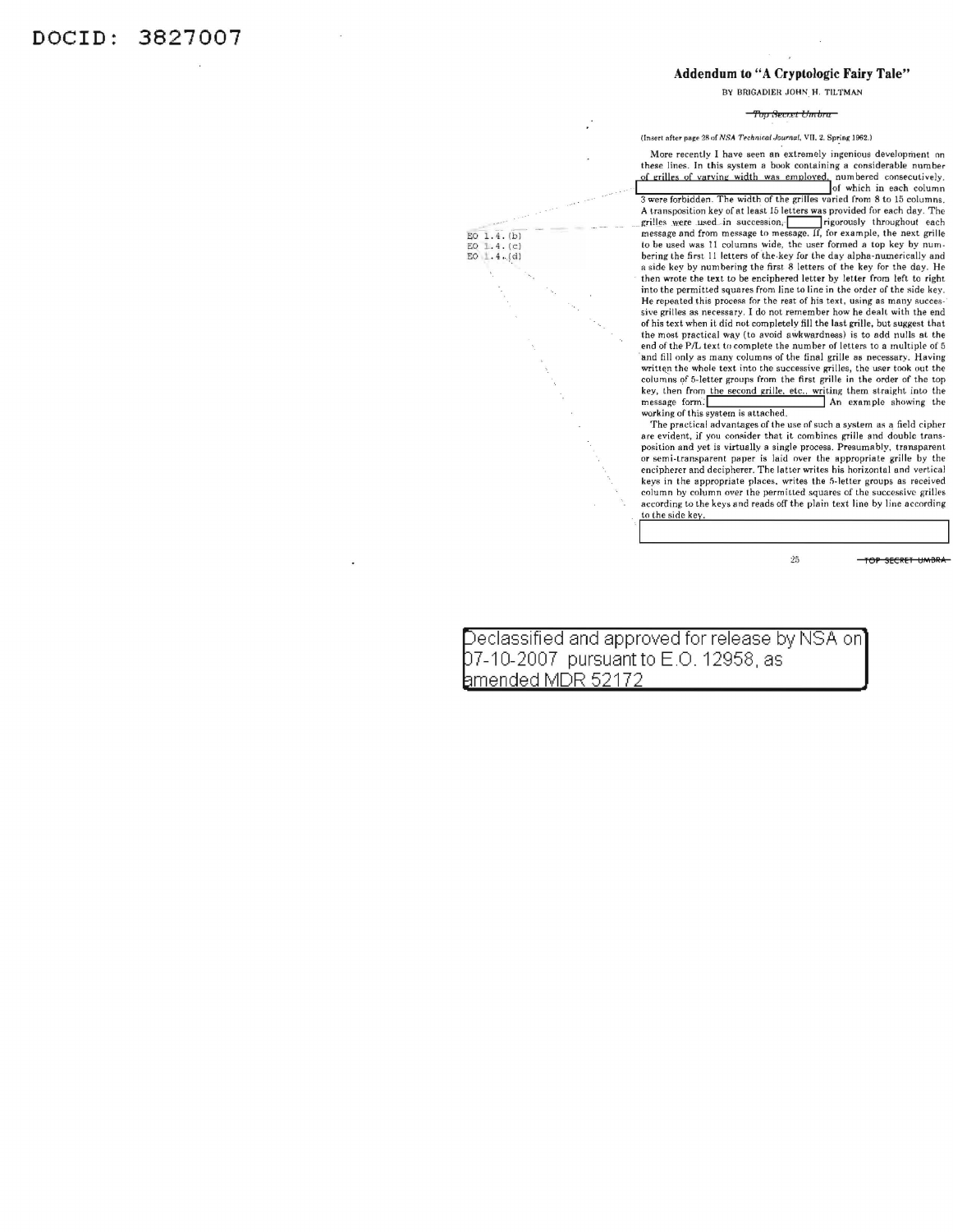## Addendum to "A Cryptologic Fairy Tale"

BY BRIGADIER JOHN H. TILTMAN

## 'tbp &u.et *bmb1 a*

(Insert after page 28 of NSA Technical Journal, VII. 2. Spring 1962.)

More recently I have seen an extremely ingenious development on these lines. In this system a book containing a considerable number of grilles of varying width was employed, numbered consecutively. Solution of the time width of the grilles varied from 8 to 15 column 3 were forbidden. The width of the grilles varied from 8 to 15 columns. A transposition key of at least 15 letters was provided for each day. The A transposition key of at reast to letters was provided to reach throughout each message and from message to message. If, for example, the next grille to be used was 11 columns wide, the user formed a top key by numbering the first 11 letters of the key for the day alpha-numerically and a side key by numbering the first 8 letters of the key for the day. He then wrote the text to be enciphered letter by letter from left to right into the permitted squares from line to line in the order of the side key. He repeated this process for the rest of his text, using as many successive grilles as necessary. I do not remember how he dealt with the end of his text when it did not completely fill the last grille, but suggest that the most practical way (to avoid aWkwardness) is to odd nulls at the end of the P/L text to complete the number of letters to a multiple of  $5$ and fill only as many columns of the final grille as necessary. Having written the whole text into the successive grilles, the user took out the<br>columns of 5-letter groups from the first grille in the order of the top key, then from the second grille, etc., writing them straight into the message form: Mn example showing the

working of this system is attached. The practical advantages of the use nf such a syslem as a field cipher are evident, if you consider that it combines grille and double transposition and yet is virtually a single process. Presumably, transparent or semi-transparent. paper is laid over the appropriale grille by the encipherer and decipherer. The latter writes his horizontal and verti ca l keys in the appropriate places. writes the 5-letter groups as received column by column over the permitted squares of the successive grilles according to the keys and reads off the plain lext lino by line according to the side key

25 **TOP SECRET UMBRA** 

Declassified and approved for release by NSA on 07-10-2007 pursuantto E.O. 12958, as amended MOR 52172

EO 1.4.[b]<br>EO 1.4.[c]<br>EO 1.4.[d]